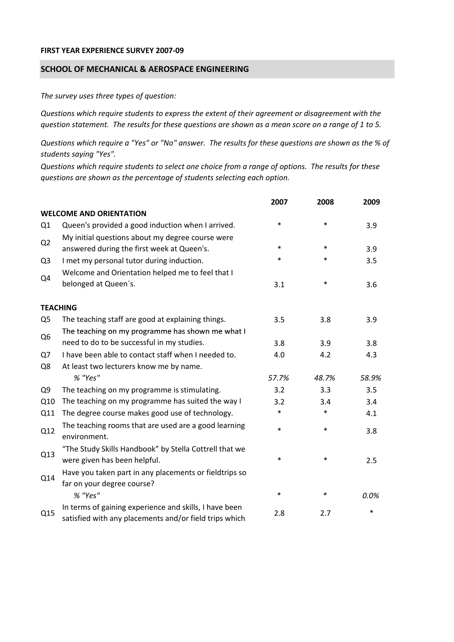## **FIRST YEAR EXPERIENCE SURVEY 2007‐09**

## **SCHOOL OF MECHANICAL & AEROSPACE ENGINEERING**

*The survey uses three types of question:*

*Questions which require students to express the extent of their agreement or disagreement with the* question statement. The results for these questions are shown as a mean score on a range of 1 to 5.

Questions which require a "Yes" or "No" answer. The results for these questions are shown as the % of *students saying "Yes".*

Questions which require students to select one choice from a range of options. The results for these *questions are shown as the percentage of students selecting each option.*

|                |                                                                                                                  | 2007   | 2008   | 2009  |
|----------------|------------------------------------------------------------------------------------------------------------------|--------|--------|-------|
|                | <b>WELCOME AND ORIENTATION</b>                                                                                   |        |        |       |
| Q1             | Queen's provided a good induction when I arrived.                                                                | $\ast$ | $\ast$ | 3.9   |
| Q2             | My initial questions about my degree course were<br>answered during the first week at Queen's.                   | $\ast$ | $\ast$ | 3.9   |
| Q <sub>3</sub> | I met my personal tutor during induction.                                                                        | $\ast$ | $\ast$ | 3.5   |
| Q4             | Welcome and Orientation helped me to feel that I                                                                 |        |        |       |
|                | belonged at Queen's.                                                                                             | 3.1    | $\ast$ | 3.6   |
|                | <b>TEACHING</b>                                                                                                  |        |        |       |
| Q <sub>5</sub> | The teaching staff are good at explaining things.                                                                | 3.5    | 3.8    | 3.9   |
| Q <sub>6</sub> | The teaching on my programme has shown me what I                                                                 |        |        |       |
|                | need to do to be successful in my studies.                                                                       | 3.8    | 3.9    | 3.8   |
| Q7             | I have been able to contact staff when I needed to.                                                              | 4.0    | 4.2    | 4.3   |
| Q8             | At least two lecturers know me by name.                                                                          |        |        |       |
|                | % "Yes"                                                                                                          | 57.7%  | 48.7%  | 58.9% |
| Q <sub>9</sub> | The teaching on my programme is stimulating.                                                                     | 3.2    | 3.3    | 3.5   |
| Q10            | The teaching on my programme has suited the way I                                                                | 3.2    | 3.4    | 3.4   |
| Q11            | The degree course makes good use of technology.                                                                  | $\ast$ | $\ast$ | 4.1   |
| Q12            | The teaching rooms that are used are a good learning<br>environment.                                             | $\ast$ | $\ast$ | 3.8   |
| Q13            | "The Study Skills Handbook" by Stella Cottrell that we<br>were given has been helpful.                           | *      | $\ast$ | 2.5   |
| Q14            | Have you taken part in any placements or fieldtrips so<br>far on your degree course?                             |        |        |       |
|                | % "Yes"                                                                                                          | $\ast$ | $\ast$ | 0.0%  |
| Q15            | In terms of gaining experience and skills, I have been<br>satisfied with any placements and/or field trips which | 2.8    | 2.7    | *     |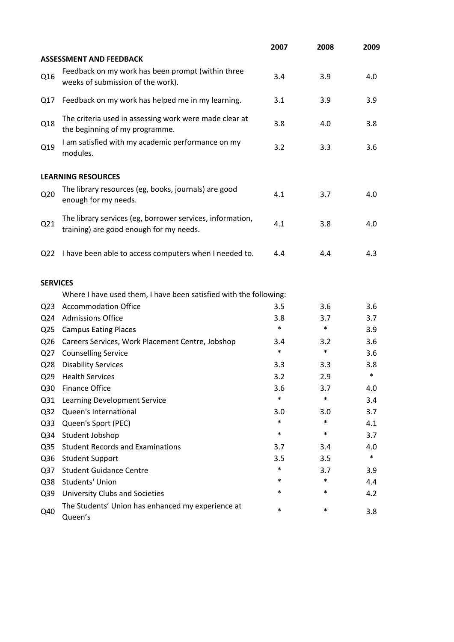|                 |                                                                                                      | 2007   | 2008   | 2009   |
|-----------------|------------------------------------------------------------------------------------------------------|--------|--------|--------|
|                 | <b>ASSESSMENT AND FEEDBACK</b>                                                                       |        |        |        |
| Q16             | Feedback on my work has been prompt (within three<br>weeks of submission of the work).               | 3.4    | 3.9    | 4.0    |
| Q17             | Feedback on my work has helped me in my learning.                                                    | 3.1    | 3.9    | 3.9    |
| Q18             | The criteria used in assessing work were made clear at<br>the beginning of my programme.             | 3.8    | 4.0    | 3.8    |
| Q19             | I am satisfied with my academic performance on my<br>modules.                                        | 3.2    | 3.3    | 3.6    |
|                 | <b>LEARNING RESOURCES</b>                                                                            |        |        |        |
| Q <sub>20</sub> | The library resources (eg, books, journals) are good<br>enough for my needs.                         | 4.1    | 3.7    | 4.0    |
| Q21             | The library services (eg, borrower services, information,<br>training) are good enough for my needs. | 4.1    | 3.8    | 4.0    |
|                 | Q22 I have been able to access computers when I needed to.                                           | 4.4    | 4.4    | 4.3    |
| <b>SERVICES</b> |                                                                                                      |        |        |        |
|                 | Where I have used them, I have been satisfied with the following:                                    |        |        |        |
| Q <sub>23</sub> | <b>Accommodation Office</b>                                                                          | 3.5    | 3.6    | 3.6    |
| Q <sub>24</sub> | <b>Admissions Office</b>                                                                             | 3.8    | 3.7    | 3.7    |
| Q <sub>25</sub> | <b>Campus Eating Places</b>                                                                          | $\ast$ | $\ast$ | 3.9    |
| Q <sub>26</sub> | Careers Services, Work Placement Centre, Jobshop                                                     | 3.4    | 3.2    | 3.6    |
| Q27             | <b>Counselling Service</b>                                                                           | $\ast$ | $\ast$ | 3.6    |
| Q <sub>28</sub> | <b>Disability Services</b>                                                                           | 3.3    | 3.3    | 3.8    |
| Q <sub>29</sub> | <b>Health Services</b>                                                                               | 3.2    | 2.9    | $\ast$ |
| Q30             | <b>Finance Office</b>                                                                                | 3.6    | 3.7    | 4.0    |
| Q31             | Learning Development Service                                                                         | $\ast$ | $\ast$ | 3.4    |
| Q <sub>32</sub> | Queen's International                                                                                | 3.0    | 3.0    | 3.7    |
| Q <sub>33</sub> | Queen's Sport (PEC)                                                                                  | $\ast$ | $\ast$ | 4.1    |
| Q34             | Student Jobshop                                                                                      | $\ast$ | $\ast$ | 3.7    |
| Q <sub>35</sub> | <b>Student Records and Examinations</b>                                                              | 3.7    | 3.4    | 4.0    |
| Q36             | <b>Student Support</b>                                                                               | 3.5    | 3.5    | $\ast$ |
| Q37             | <b>Student Guidance Centre</b>                                                                       | *      | 3.7    | 3.9    |
| Q <sub>38</sub> | <b>Students' Union</b>                                                                               | *      | $\ast$ | 4.4    |
| Q39             | <b>University Clubs and Societies</b>                                                                | *      | $\ast$ | 4.2    |
| Q40             | The Students' Union has enhanced my experience at<br>Queen's                                         | $\ast$ | $\ast$ | 3.8    |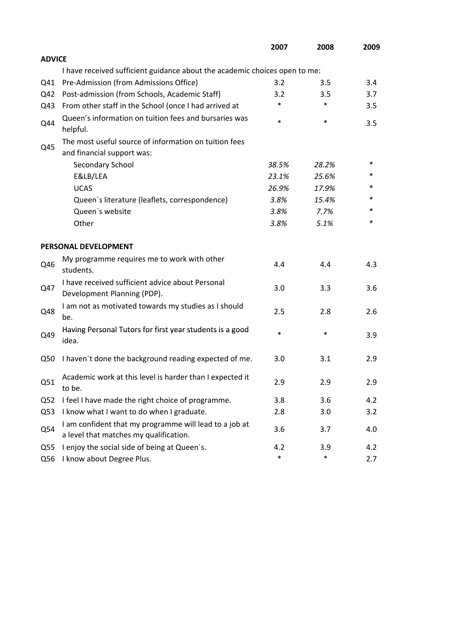|                 |                                                                                                  | 2007   | 2008   | 2009 |
|-----------------|--------------------------------------------------------------------------------------------------|--------|--------|------|
| <b>ADVICE</b>   |                                                                                                  |        |        |      |
|                 | I have received sufficient guidance about the academic choices open to me:                       |        |        |      |
| Q41             | Pre-Admission (from Admissions Office)                                                           | 3.2    | 3.5    | 3.4  |
| Q42             | Post-admission (from Schools, Academic Staff)                                                    | 3.2    | 3.5    | 3.7  |
| Q43             | From other staff in the School (once I had arrived at                                            | *      | $\ast$ | 3.5  |
| Q44             | Queen's information on tuition fees and bursaries was<br>helpful.                                | $\ast$ | $\ast$ | 3.5  |
|                 | The most useful source of information on tuition fees                                            |        |        |      |
| Q45             | and financial support was:                                                                       |        |        |      |
|                 | Secondary School                                                                                 | 38.5%  | 28.2%  | ∗    |
|                 | E&LB/LEA                                                                                         | 23.1%  | 25.6%  | *    |
|                 | <b>UCAS</b>                                                                                      | 26.9%  | 17.9%  |      |
|                 | Queen's literature (leaflets, correspondence)                                                    | 3.8%   | 15.4%  | *    |
|                 | Queen's website                                                                                  | 3.8%   | 7.7%   | *    |
|                 | Other                                                                                            | 3.8%   | 5.1%   | *    |
|                 | PERSONAL DEVELOPMENT                                                                             |        |        |      |
| Q46             | My programme requires me to work with other<br>students.                                         | 4.4    | 4.4    | 4.3  |
| Q47             | I have received sufficient advice about Personal<br>Development Planning (PDP).                  | 3.0    | 3.3    | 3.6  |
| Q48             | I am not as motivated towards my studies as I should<br>be.                                      | 2.5    | 2.8    | 2.6  |
| Q49             | Having Personal Tutors for first year students is a good<br>idea.                                | $\ast$ | $\ast$ | 3.9  |
| Q50             | I haven't done the background reading expected of me.                                            | 3.0    | 3.1    | 2.9  |
| Q51             | Academic work at this level is harder than I expected it<br>to be.                               | 2.9    | 2.9    | 2.9  |
| Q <sub>52</sub> | I feel I have made the right choice of programme.                                                | 3.8    | 3.6    | 4.2  |
| Q53             | I know what I want to do when I graduate.                                                        | 2.8    | 3.0    | 3.2  |
| Q54             | I am confident that my programme will lead to a job at<br>a level that matches my qualification. | 3.6    | 3.7    | 4.0  |
| Q <sub>55</sub> | I enjoy the social side of being at Queen's.                                                     | 4.2    | 3.9    | 4.2  |
| Q56             | I know about Degree Plus.                                                                        | $\ast$ | $\ast$ | 2.7  |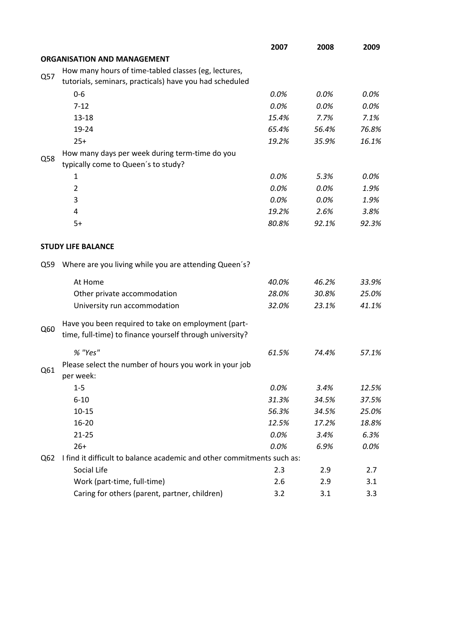|     |                                                                        | 2007  | 2008  | 2009  |
|-----|------------------------------------------------------------------------|-------|-------|-------|
|     | <b>ORGANISATION AND MANAGEMENT</b>                                     |       |       |       |
|     | How many hours of time-tabled classes (eg, lectures,                   |       |       |       |
| Q57 | tutorials, seminars, practicals) have you had scheduled                |       |       |       |
|     | $0-6$                                                                  | 0.0%  | 0.0%  | 0.0%  |
|     | $7 - 12$                                                               | 0.0%  | 0.0%  | 0.0%  |
|     | $13 - 18$                                                              | 15.4% | 7.7%  | 7.1%  |
|     | 19-24                                                                  | 65.4% | 56.4% | 76.8% |
|     | $25+$                                                                  | 19.2% | 35.9% | 16.1% |
|     | How many days per week during term-time do you                         |       |       |       |
| Q58 | typically come to Queen's to study?                                    |       |       |       |
|     | 1                                                                      | 0.0%  | 5.3%  | 0.0%  |
|     | $\overline{2}$                                                         | 0.0%  | 0.0%  | 1.9%  |
|     | 3                                                                      | 0.0%  | 0.0%  | 1.9%  |
|     | 4                                                                      | 19.2% | 2.6%  | 3.8%  |
|     | $5+$                                                                   | 80.8% | 92.1% | 92.3% |
|     |                                                                        |       |       |       |
|     | <b>STUDY LIFE BALANCE</b>                                              |       |       |       |
| Q59 | Where are you living while you are attending Queen's?                  |       |       |       |
|     | At Home                                                                | 40.0% | 46.2% | 33.9% |
|     | Other private accommodation                                            | 28.0% | 30.8% | 25.0% |
|     | University run accommodation                                           | 32.0% | 23.1% | 41.1% |
|     | Have you been required to take on employment (part-                    |       |       |       |
| Q60 | time, full-time) to finance yourself through university?               |       |       |       |
|     | % "Yes"                                                                | 61.5% | 74.4% | 57.1% |
| Q61 | Please select the number of hours you work in your job                 |       |       |       |
|     | per week:                                                              |       |       |       |
|     | $1 - 5$                                                                | 0.0%  | 3.4%  | 12.5% |
|     | $6 - 10$                                                               | 31.3% | 34.5% | 37.5% |
|     | $10 - 15$                                                              | 56.3% | 34.5% | 25.0% |
|     | $16 - 20$                                                              | 12.5% | 17.2% | 18.8% |
|     | $21 - 25$                                                              | 0.0%  | 3.4%  | 6.3%  |
|     | $26+$                                                                  | 0.0%  | 6.9%  | 0.0%  |
| Q62 | I find it difficult to balance academic and other commitments such as: |       |       |       |
|     | Social Life                                                            | 2.3   | 2.9   | 2.7   |
|     | Work (part-time, full-time)                                            | 2.6   | 2.9   | 3.1   |
|     | Caring for others (parent, partner, children)                          | 3.2   | 3.1   | 3.3   |